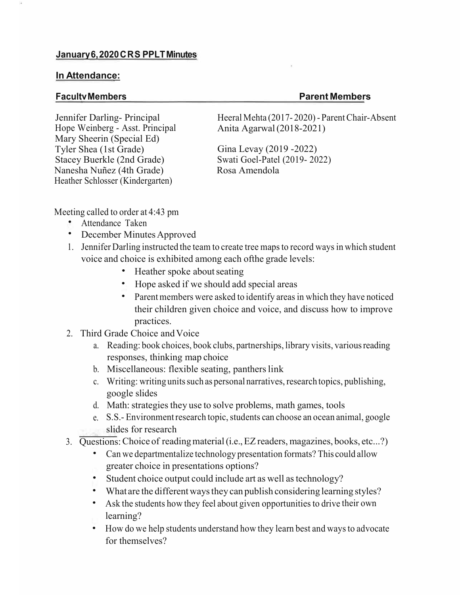## **In Attendance:**

## **FacultvMembers Parent Members**

Jennifer Darling- Principal Hope Weinberg - Asst. Principal Mary Sheerin (Special Ed) Tyler Shea (1st Grade) Stacey Buerkle (2nd Grade) Nanesha Nuñez (4th Grade) Heather Schlosser (Kindergarten)

Heeral Mehta (2017-2020) - Parent Chair-Absent Anita Agarwal(2018-2021)

Gina Levay (2019 -2022) Swati Goel-Patel (2019- 2022) Rosa Amendola

Meeting called to order at 4:43 pm

- Attendance Taken
- December Minutes Approved
- 1. Jennifer Darling instructed the team to create tree mapsto record ways in which student voice and choice is exhibited among each ofthe grade levels:
	- Heather spoke about seating
	- Hope asked if we should add special areas
	- Parent members were asked to identify areas in which they have noticed their children given choice and voice, and discuss how to improve practices.
- 2. Third Grade Choice andVoice
	- a. Reading: book choices, book clubs, partnerships, library visits, variousreading responses, thinking map choice
	- b. Miscellaneous: flexible seating, panthers link
	- c. Writing: writing units such as personal narratives, research topics, publishing, google slides
	- d. Math: strategies they use to solve problems, math games, tools
	- e. S.S.- Environment research topic, students can choose an ocean animal, google slides for research
- 3. Questions:Choice of readingmaterial(i.e.,EZreaders, magazines, books, etc...?)
	- Can we departmentalize technology presentation formats? This could allow greater choice in presentations options?
	- Student choice output could include art as well as technology?
	- What are the different ways they can publish considering learning styles?
	- Ask the students how they feel about given opportunities to drive their own learning?
	- How do we help students understand how they learn best and ways to advocate for themselves?